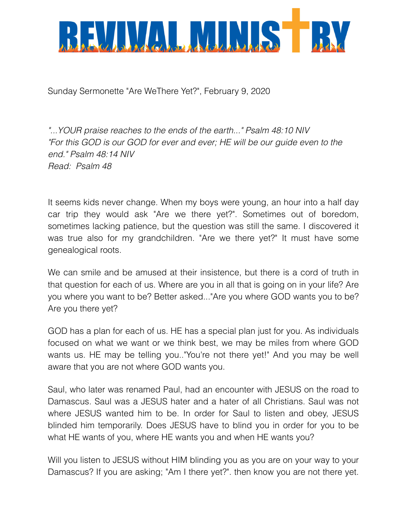

Sunday Sermonette "Are WeThere Yet?", February 9, 2020

*"...YOUR praise reaches to the ends of the earth..." Psalm 48:10 NIV "For this GOD is our GOD for ever and ever; HE will be our guide even to the end." Psalm 48:14 NIV Read: Psalm 48*

It seems kids never change. When my boys were young, an hour into a half day car trip they would ask "Are we there yet?". Sometimes out of boredom, sometimes lacking patience, but the question was still the same. I discovered it was true also for my grandchildren. "Are we there yet?" It must have some genealogical roots.

We can smile and be amused at their insistence, but there is a cord of truth in that question for each of us. Where are you in all that is going on in your life? Are you where you want to be? Better asked..."Are you where GOD wants you to be? Are you there yet?

GOD has a plan for each of us. HE has a special plan just for you. As individuals focused on what we want or we think best, we may be miles from where GOD wants us. HE may be telling you.."You're not there yet!" And you may be well aware that you are not where GOD wants you.

Saul, who later was renamed Paul, had an encounter with JESUS on the road to Damascus. Saul was a JESUS hater and a hater of all Christians. Saul was not where JESUS wanted him to be. In order for Saul to listen and obey, JESUS blinded him temporarily. Does JESUS have to blind you in order for you to be what HE wants of you, where HE wants you and when HE wants you?

Will you listen to JESUS without HIM blinding you as you are on your way to your Damascus? If you are asking; "Am I there yet?". then know you are not there yet.